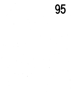95

 $\sim 3^{\circ}$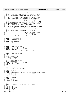```
\frac{1}{2}2 ** NGPT − Next Generation POSIX Threading
3 ** Copyright (c) 2001 IBM Corporation <babt@us.ibm.com>
     **<br>**
 5 ** This file is part of NGPT, a non−preemptive thread scheduling
6 ** library which can be found at http://www.ibm.com/developer.
7 \div *8 ** This library is free software; you can redistribute it and/or<br>8 ** modify it under the terms of the GNU Lesser General Public
9 ** modify it under the terms of the GNU Lesser General Public
10 ** License as published by the Free Software Foundation; either
11 ** version 2.1 of the License, or (at your option) any later version.
\begin{array}{ccc}\n12 & & \star \star \\
13 & & \star \star\n\end{array}13 ** This library is distributed in the hope that it will be useful,<br>14 ** but WITHOUT ANY WARRANTY; without even the implied warranty of
14 ** but WITHOUT ANY WARRANTY; without even the implied warranty of
15 ** MERCHANTABILITY or FITNESS FOR A PARTICULAR PURPOSE. See the GNU
16 ** Lesser General Public License for more details.<br>16 ** Lesser General Public License for more details.
\begin{array}{ccc}\n17 & * & *\\
17 & * & *\\
18 & * & *\\
\end{array}18 ** You should have received a copy of the GNU Lesser General Public
19 ** License along with this library; if not, write to the Free Software
20 ** Foundation, Inc., 59 Temple Place, Suite 330, Boston, MA 02111−1307<br>20 ** Foundation, Inc., 59 Temple Place, Suite 330, Boston, MA 02111−1307
           IISA.\begin{matrix} 22 & * & * \\ 23 & * & * \end{matrix}<sup>23</sup> ** pthreadtypes.h: POSIX Thread ("Pthread") API for NGPT \frac{x}{4} */
24 */<br>25
                                                      7* ''Only those who attempt the absurd
26 can achieve the impossible.''
27 −− Unknown */
28 #if !defined _BITS_TYPES_H && !defined _PTHREAD_H
<sup>29</sup> # error "Never include <bits/pthreadtypes.h> directly; use <sys/types.h> instead."
     30 #endif
31
32 #ifndef _BITS_PTHREADTYPES_H
33 #define _BITS_PTHREADTYPES_H 1
34
35 #define __need_schedparam
36 #undef sched_param
37 #include <bits/sched.h>
38
39
40
41 #ifndef _PTHREAD_QLOCK_DEFINED
42 typedef struct pth_qlock_st pth_qlock_t;
43 typedef struct pth_qlock_st pthread_lock_t;
44 \text{struct } \text{pth\_qlock\_st} {<br>45 \text{int} lock
            int \frac{1}{1} \frac{1}{1} \frac{1}{1} \frac{1}{1} \frac{1}{1} \frac{1}{1} \frac{1}{1} \frac{1}{1} \frac{1}{1} \frac{1}{1} \frac{1}{1} \frac{1}{1} \frac{1}{1} \frac{1}{1} \frac{1}{1} \frac{1}{1} \frac{1}{1} \frac{1}{1} \frac{1}{1} \frac{1}{1} \frac{1}{1} \frac{1}{146 int owner;<br>
47 int count;
                                       count;
48<br>49
49 #define _PTHREAD_QLOCK_DEFINED
     50 #endif
51
52 struct _pthread_fastlock {
            long int _status;
int_{55}^{54} int __spinlock;
     55 };
56
57 #ifndef _PTHREAD_DESCR_DEFINED
58 /* Thread descriptors \frac{1}{\sqrt{5}}<br>59 typedef struct pthread s
     59 typedef struct pthread_st *_pthread_descr;
60 # define _PTHREAD_DESCR_DEFINED
61 #endif
62
63
64 #ifdef __USE_XOPEN2K
65 /* POSIX spinlock data type. */
66 typedef volatile int pthread_spinlock_t;
67
68 /* POSIX barrier. */<br>69 typedef struct {
69 typedef struct {
        Firuct _pthread_fastlock __ba_lock; /* Lock to guarantee mutual exclusion */<br>int __ba_required; /* Threads needed for completion */<br>int __ba_present; /* Threads waiting */
71 int __ba_required; /* Threads needed for completion */
72 int __ba_present; /* Threads waiting */
73 _pthread_descr __ba_waiting; /* Queue of waiting threads */
74 } pthread_barrier_t;
75
76 /* barrier attribute */
77 typedef struct<br>78 int pshared
78 int __pshared;<br>79 knothread barries
    } pthread_barrierattr_t;
80
81 #endif
82
83<br>84\begin{array}{c} 84 \ 84 \ 1 \end{array} * Unprotect namespace, so we can define our own variants now
85 */
86 #undef pthread_t
87 #undef pthread_attr_t
88 #undef pthread_key_t
     89 #undef pthread_once_t
90 #undef pthread_mutex_t
Registered Version: Next Generation Posix Threading pthreadtypes.h Exhibit 11.1−1 pg 1/2
```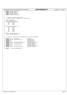| Registered Version: Next Generation Posix Threading                                                                                                                      | pthreadtypes.h                                                                      | Exhibit 11.1-1 pg 2/2 |
|--------------------------------------------------------------------------------------------------------------------------------------------------------------------------|-------------------------------------------------------------------------------------|-----------------------|
| #undef pthread_mutexattr_t<br>91<br>#undef pthread_cond_t<br>92<br>#undef pthread_condattr_t<br>93<br>#undef pthread_rwlock_t<br>94<br>#undef pthread_rwlockattr_t<br>95 |                                                                                     |                       |
| 96<br>$/$ *<br>97                                                                                                                                                        |                                                                                     |                       |
| * Forward structure definitions.<br>98<br>* These are mostly opaque to the application.<br>99<br>$^*/$<br>100                                                            |                                                                                     |                       |
| struct pthread_st;<br>101<br>struct pthread_attr_st;<br>102                                                                                                              |                                                                                     |                       |
| struct pthread_cond_st {<br>103<br>void * res0;<br>104<br>int<br>res1;<br>105                                                                                            |                                                                                     |                       |
| int<br>res2;<br>106<br>};<br>107<br>struct pthread_mutex_st {<br>108                                                                                                     |                                                                                     |                       |
| void *<br>res0;<br>109<br>int<br>resl;<br>110                                                                                                                            |                                                                                     |                       |
| int<br>res2;<br>111<br>int.<br>res3;<br>112<br>int<br>res4;<br>113                                                                                                       |                                                                                     |                       |
| int<br>res5;<br>114<br>$\}$ ;<br>115<br>struct pthread_mutexattr_st;<br>116                                                                                              |                                                                                     |                       |
| struct pthread_rwlock_st;<br>117<br>118                                                                                                                                  |                                                                                     |                       |
| $/$ *<br>119<br>* Primitive system data type definitions required by P1003.1c<br>120<br>$\star/$<br>121                                                                  |                                                                                     |                       |
| typedef struct pthread_st<br>122<br>typedef struct<br>pthread_attr_st<br>123<br>typedef int<br>124<br>typedef int<br>125                                                 | *pthread t;<br>*pthread_attr_t;<br>pthread key t;<br>pthread_once_t;                |                       |
| typedef struct pthread mutexattr st<br>126<br>pthread_mutex_st<br>typedef struct<br>127<br>typedef int<br>128<br>typedef struct pthread_cond_st<br>129                   | *pthread mutexattr t;<br>pthread_mutex_t;<br>pthread_condattr_t;<br>pthread_cond_t; |                       |
| typedef int<br>130<br>typedef struct pthread_rwlock_st<br>131<br>132                                                                                                     | pthread_rwlockattr_t;<br>*pthread_rwlock_t;                                         |                       |
| <b>#endif</b> $/* bits/pthreadtypes.h */$<br>133                                                                                                                         |                                                                                     |                       |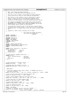```
+2 ** NGPT − Next Generation POSIX Threading
3 ** Copyright (c) 2001 IBM Corporation <babt@us.ibm.com>
    **5 ** This file is part of NGPT, a non−preemptive thread scheduling
6 ** library which can be found at http://www.ibm.com/developer.
7 + x8 ** This library is free software; you can redistribute it and/or<br>8 ** modify it under the terms of the GNU Lesser General Public
9 ** modify it under the terms of the GNU Lesser General Public
10 ** License as published by the Free Software Foundation; either
11 ** version 2.1 of the License, or (at your option) any later version.
\begin{array}{ccc}\n12 & & \star \star \\
13 & & \star \star\n\end{array}13 ** This library is distributed in the hope that it will be useful,<br>14 ** but WITHOUT ANY WARRANTY; without even the implied warranty of
14 ** but WITHOUT ANY WARRANTY; without even the implied warranty of
15 ** MERCHANTABILITY or FITNESS FOR A PARTICULAR PURPOSE. See the GNU
16 ** Lesser General Public License for more details.<br>16 ** Lesser General Public License for more details.
\begin{array}{ccc}\n17 & * & *\\
18 & * & *\\
\end{array}18 ** You should have received a copy of the GNU Lesser General Public
19 ** License along with this library; if not, write to the Free Software
20 ** Foundation, Inc., 59 Temple Place, Suite 330, Boston, MA 02111−1307<br>20 ** Foundation, Inc., 59 Temple Place, Suite 330, Boston, MA 02111−1307
         IISA.\begin{matrix} 22 & * & * \\ 23 & * & * \end{matrix}<sup>23</sup> ** semaphore.h: POSIX Thread ("Pthread") API for NGPT \frac{x}{4} */
24 */<br>25
                                               7* ''Only those who attempt the absurd
26 can achieve the impossible.''
27 −− Unknown */
28 #ifndef _SEMAPHORE_H
29 #define _SEMAPHORE_H 1
3031 #include <features.h>
    32 #include <sys/types.h>
33 #ifdef __USE_XOPEN2K
34 # define __need_timespec
35 # include <time.h>
    36 #endif
37
<sup>38</sup> #ifndef _PTHREAD_DESCR_DEFINED<br>39 typedef struct pthread_st *_ptl
39 typedef struct pthread_st *_pthread_descr;
    40 # define _PTHREAD_DESCR_DEFINED
41 #endif
42
43 typedef struct _sem_lock_st *_sem_lock_t;
44 struct _sem_lock_st {<br>45 pthread lock t
         45 pthread_lock_t __sem_lock;
46 pthread_mutex_t __lock;<br>47 pthread_cond_t nonzero;
47 pthread_cond_t \frac{1}{48} };
   48 };
49
50 /* System specific semaphore definition. */
51 typedef struct {
52 struct _pthread_fastlock __sem_lock;
53 int __sem_value;
54 _sem_lock_t __sem_waiting;
   \} sem_t;
56
57
58
59 /* Value returned if 'sem_open' failed. */<br>60 #define SEM_FAILED ( (sem_t *) 0)
60 #define SEM_FAILED
61
62 /* Maximum value the semaphore can have. */
63 #define SEM_VALUE_MAX ((int) ((~0u) >> 1))
64
65
66 __BEGIN_DECLS
67
68 /* Initialize semaphore object SEM to VALUE. If PSHARED then share it
69 with other processes. */
70 extern int sem_init (sem_t *__sem, int __pshared, unsigned int __value) __THROW;
71
72 /* Free resources associated with semaphore object SEM. */
73 extern int sem_destroy (sem_t *__sem) __THROW;
74
75 /* Open a named semaphore NAME with open flaot OFLAG. */
76 extern sem_t *sem_open (__const char *__name, int __oflag, ...) __THROW;
77
...<br>TO 1988 T and the semi-close (semi-tanglering SEM.<br>The extern int semi-close (semi-tanglering THROW;
    extern int sem_close (sem_t *__sem) __THROW;
80
81 / * Remove named semaphore NAME. *82 extern int sem_unlink ( __const char *__name) __THROW;
83
84 /* Wait for SEM being posted. */<br>85 extern int sem wait (sem t * sem
    extern int sem_wait (sem_t *__sem) __THROW;
86
87 #ifdef __USE_XOPEN2K<br>88 /* Similar to 'sem_w
88 /* Similar to 'sem_wait' but wait only until ABSTIME. */<br>89 extern int sem timedwait (sem t. * restrict sem.
    extern int sem_timedwait (sem_t *__restrict _
90 __const struct timespec *__restrict __abstime)
Registered Version: Next Generation Posix Threading semaphore.h Exhibit 11.1−2 pg 1/2
```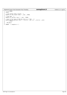## \_\_THROW; <sup>92</sup> **#endif** /\* Test whether SEM is posted. \*/ <sup>95</sup> **extern** int sem\_trywait (sem\_t \*\_\_sem) \_\_THROW; /\* Post SEM. \*/ <sup>98</sup> **extern** int sem\_post (sem\_t \*\_\_sem) \_\_THROW; <sup>100</sup> /\* Get current value of SEM and store it in \*SVAL. \*/ <sup>101</sup> **extern** int sem\_getvalue (sem\_t \*\_\_restrict \_\_sem, int \*\_\_restrict \_\_sval) \_\_THROW; <br> $104$  $\_$ END\_DECLS **#endif** /\* semaphore.h \*/ Registered Version: Next Generation Posix Threading **semaphore.h** Exhibit 11.1−2 pg 2/2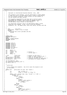```
\frac{1}{1}\begin{matrix} 2 & * \\ 2 & * \end{matrix}3 * Copyright (c) International Business Machines Corp., 2001
\begin{matrix}4 & & *\\ 5 & & * \end{matrix}5 * This program is free software; you can redistribute it and/or modify
6 * it under the terms of the GNU General Public License as published by
<sup>7</sup> * the Free Software Foundation; either version 2 of the License, or
8 * (at your option) any later version.<br>9 *
 9 *
* This program is distributed in the hope that it will be useful,<br>** but WITHOUT ANY WARRANTY; without even the implied warranty of<br>** MERCHANTABILITY or FITNESS FOR A PARTICULAR PURPOSE. See<br>** the GNU General Public Lice
\begin{array}{ccc} 14 & & \star \\ 15 & & \star \end{array}You should have received a copy of the GNU General Public License
16 * along with this program; if not, write to the Free Software
17 * Foundation, Inc., 59 Temple Place, Suite 330, Boston, MA 02111−1307 USA
18 */19
20 /*<br>21 * FTLE* FILE : pth\_str01.c<br>* DFCOPITON : areate a tra
<sup>22</sup> * DESCRIPTION : create a tree of threads<br><sup>23</sup> * HISTORY:
23 * HISTORY:<br>24 * 04/09/
24 * 04/09/2001 Paul Larson (plars@us.ibm.com)
               25 * −Ported
26<br>27
     \star /
28
29 #ifdef GLOBAL
    #include <pthread.h>
31 #else
    32 #define _PTHREAD_PRIVATE
\frac{33}{44} #include<sup>-</sup> "pthread.h<sup>"</sup>
    34 #endif
35
36
37 #include <stdio.h>
38 #include <unistd.h>
39 #include <stdlib.h>
40 #include <string.h>
41 #include <errno.h>
42 #include <sys/types.h>
43 #include "test_str.h"
44
45 int depth = 3;
46 int breadth = 4;<br>47 int timeout = 30;
47 int timeout = 30; /* minutes */
48 int cdepth; /* current depth */
48 int cdepth;<br>49 int debug = 0;
5051 c_info *child_info; /* pointer to info array */
52 int node_count; /* number of nodes created so far */
53 pthread_mutex_t node_mutex; /* mutex for the node_count */
54 pthread_cond_t node_condvar; /* condition variable for node_count */
55 pthread_attr_t attr; /* attributes for created threads */
56
57 int num_nodes(int, int);
58 int synchronize_children(c_info *);
59 int doit(c_info *);
60
61 /*\begin{array}{ccc} 62 & * & \text{parse}\_ \text{args} \end{array}63 64* Parse command line arguments. Any errors cause the program to exit
65 * at this point.
66 */<br>67 static void
67 static void parse_args( int argc, char *argv[] )
68 {
69 int opt, errflag = 0;
70 int bflag = 0, dflag = 0, tflag = 0;
71
72 while ( (opt = getopt( argc, argv, "b:d:t:Dh?" )) != EOF ) {<br>73 switch ( opt ) {
73 switch ( opt ) {
74 case 'b':
75 if ( bflag )
77 errflag++;<br>77 else {
77 else {
\frac{1}{2} bflag++;<br>\frac{1}{2} breadth
                                     breakf = atoi( optarg );
80 if (breadth \leq 0)<br>81 if (breadth \leq 0)
                                           errflag++;82 }
83 break;<br>84 case 'd':
84 case 'd':
                                85 if ( dflag )
\frac{86}{87} errflag++;
87 else else
\frac{d\hat{f}}{d\theta} depth = \frac{d\hat{f}}{d\theta} depth = \frac{d\hat{f}}{d\theta}depth = atoi( optarg );90 if ( depth <= 0 )
Registered Version: Next Generation Posix Threading test_str01.c Exhibit 11.1–3 pg 1/10
```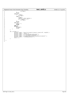```
91 errflag++;<br>92 }
92 }
\frac{1}{93}<br>
94 break;<br>
case 't':
94 case 't':
95 if ( tflag )
96 if ( tflag )<br>96 errflag++;<br>97 else {
97 else {<br>
98 tflag++;
99 timeout = atoi( optarg );
100 if ( timeout <= 0 )
100 \textbf{if} \text{ (timeout <}\n
101 errflag++;
102 }
103<br>104 break;<br>104 case 'D':
104 case 'D':
105 debug = 1;
106 break;
107 case 'h':
108 default:<br>
109 default
109 errflag++;<br>
110 break;
110 break;<br>111 break;
111 }
\begin{array}{c} 111 \\ 112 \end{array}113
114 if ( errflag ) {<br>115 fprintf( stderr, "usage: %s [−b <num>] [−d <num>] [−t <num>] [−D]", argv[0] );<br>116 fprintf( stderr, "where:\n" );<br>117 fprintf( stderr, "\t-b <num>\tbreadth of child nodes\n" );
118 fprintf( stderr, "\t−d <num>\tdepth of child nodes\n" );<br>119 fprintf( stderr, "\t−t <num>\ttimeout for child communication (in minutes)\n" );<br>120 fprintf( stderr, "\t-D\t\tdebug mode on\n" );<br>exit( 1 );
\begin{array}{c} \n \text{122} \\
 \end{array}123
\begin{matrix} 124 \end{matrix}Registered Version: Next Generation Posix Threading test_str01.c Exhibit 11.1−3 pg 2/10
```
125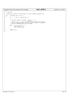# Registered Version: Next Generation Posix Threading **test\_str01.c** Exhibit 11.1−3 pg 3/10

<sup>126</sup> /\* <sup>127</sup> \* num\_nodes <sup>128</sup> \* <sup>129</sup> \* Caculate the number of child nodes for a given breadth and depth tree.<br><sup>130</sup> \*/  $130 + 7$ <br> $131 + int$ 131 int num\_nodes( int b, int d )<br>132  $\{$  $\begin{array}{c} 132 \\ 133 \end{array}$  $int \t n, sum = 1, partial\_exp = 1;$ 134 <sup>135</sup> /\* <sup>136</sup> \* The total number of children = sum ( b \*\* n ) <sup>137</sup> \* n=0−>d <sup>138</sup> \* Since b \*\* 0 == 1, and it's hard to compute that kind of value <sup>139</sup> \* in this simplistic loop, we start sum at 1 (above) to compensate <sup>140</sup> \* and do the computations from 1−>d below. 140  $*$ <br>
141  $*$  /<br>
142 **for** 142 **for** (  $n = 1$ ;  $n \le d$ ;  $n++$  ) {<br>
partial\_exp \*= b;<br>
sum += partial\_exp;  $\begin{array}{c} 144 \\ 145 \end{array}$ 146 <sup>147</sup> **return**( sum );  $\begin{array}{c} \ldots \\ 148 \end{array}$ 149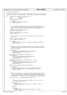Registered Version: Next Generation Posix Threading **test str01.c** Exhibit 11.1−3 pg 4/10

```
150 *151 * synchronize_children
152<br>153
        Register the child with the parent and then wait for all of the children
<sup>154</sup> * at the same level to register also. Return when everything is synched up.<br><sup>155</sup> */
   \frac{*}{\text{int}}156 int synchronize_children( c_info *parent ) {
157 int my_index, rc;
158 c_info \frac{1}{10} c_info \frac{1}{100} info_p;
              struct timespec timer;
160
161 if ( debug ) {<br>
printf( "trying to lock node_mutex\n" );
163 fflush( stdout );<br>
164 }
164 }
165
166 /*<br>167 *
<sup>167</sup> * Lock the node_count mutex to we can safely increment it. We<br><sup>168</sup> * will unlock it when we broadcast that all of our siblings ha
A will unlock it when we broadcast that all of our siblings have<br>168 * Will unlock it when we block waiting for that broadcast.
the team of the created or when we block waiting for that broadcast.<br>
\star/10 \star/
170 * /
171 pthread_mutex_lock( &node_mutex );<br>172 my index = node count++;
              my_index = node_count++;173
174 printf( "thread %d started\n", my_index );
175 fflush( stdout );
176
177
178 * Get a pointer into the array of thread structures which will<br>\star be "me"
               \star be "me".
180 * /
181 info_p = &child_info[my_index];
182 info_p−>index = my_index;
183
184 if ( debug ) {<br>
printf( "thread %d info_p=%x\n", my_index, (unsigned int)info_p );<br>
fflush( stdout );
187 }
188
189 /*
190 * Register with parent bumping the parent's child_count variable.
191 * Make sure we have exclusive access to that variable before we
192 * do the increment.
193<br>194
194 if ( debug ) {<br>195 printf( "thread %d locking child_mutex %x\n", my_index,
196 (unsigned int)&parent->child_mutex );<br>197 filush( stdout );<br>197 filush( stdout );
                    flush(\overline{st}dout);
198<br>199
199 pthread_mutex_lock( &parent->child_mutex );<br>
200 if ( debug ) {<br>
printf( "thread %d bumping child_count (currently %d)\n",
202 my_index, parent−>child_count );
203 fflush(stdout);
204 }
205 parent->child_ptrs[parent->child_count++] = info_p;<br>206 if (debug) {
206 if ( debug ) {<br>207 printf( "thread %d unlocking child_mutex %x\n", my_index,
208 (unsigned int)&parent->child_mutex );<br>209 fflush(stdout );
               fflush(\intstdout);
210 \Big\}211 pthread_mutex_unlock( &parent−>child_mutex );
212<br>213213 if ( debug ) {
214 printf( "thread %d node_count = %d\n", my_index, node_count );
215 printf( "expecting %d nodes\n", num_nodes(breadth, cdepth) );
216 fflush(stdout);
217 }
218
219 /*
<sup>220</sup> * Have all the nodes at our level in the tree been created yet?<br><sup>221</sup> * If so, then send out a broadcast to wake everyone else up (to
221 * If so, then send out a broadcast to wake everyone else up (to let 222 * them know they can now create their children (if they are not
222 * them know they can now create their children (if they are not
223 * leaf nodes)). Otherwise, go to sleep waiting for the broadcast.
224 * /
225 if ( node_count == num_nodes(breadth, cdepth) ) {
226
227 / *
<sup>227</sup> <sup>228</sup> * Increase the current depth variable, as the tree is now
229 * fully one level taller.<br>230 */
230 * /
231 if ( debug ) {<br>
printf( "thread %d doing cdepth++ (%d)\n", my_index, cdepth );
233 fflush(stdout);
234 }
235 cdepth++;
236
237 if ( debug ) {<br>printf( "thread %d sending child_mutex broadcast\n", my_index );
239 fflush( stdout );
```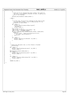```
240 }
241 / *
<sup>24</sup> <sup>24</sup> Since all of our siblings have been created, this level of<br><sup>243</sup> * the tree is now allowed to continue its work, so wake up t
243 * the tree is now allowed to continue its work, so wake up the
<sup>244</sup> * rest of the siblings.<br><sup>245</sup> */
245 * /
246 pthread_cond_broadcast( &node_condvar );
247
248 } else {
249
250 /*
<sup>251</sup> <sup>251</sup> * In this case, not all of our siblings at this level of the<br><sup>252</sup> * tree have been created, so go to sleep and wait for the
251 \therefore tree have been created, so go to sleep and wait for the<br>253 \therefore tree have been created, so go to sleep and wait for the
253 * broadcast on node_condvar.<br>254 * /
254 * /
255 if ( debug ) {<br>
printf( "thread %d waiting for siblings to register\n",
<sup>257</sup> my_index );<br>
<sup>258</sup> fflush(stdou
258 fflush(stdout);
259 }
259 <br>260 time( &timer.tv_sec );
261 timer.tv_sec += (unsigned long)timeout * 60;
262 timer.tv_nsec = (unsigned long)0;
263 if ((rc = pthread_cond_timedwait(&node_condvar, &node_mutex,<br>264 b ktimer))) {
264 &timer))) {
265 fprintf( stderr, "pthread_cond_timedwait (sync) %d: %s\n",
266 my_index, sys_errlist[rc] );
267 exit( 2 );
268 }
269270 if ( debug ) {<br>
printf( "thread %d is now unblocked\n", my_index );
272 fflush(stdout);
273 }
274
275 }
276
\frac{277}{278}278 * Unlock the node_mutex lock, as this thread is finished<br>
279 * initializing.
               * initializing.
280 */<br>
if ( debug ) {<br>
printf( "thread %d unlocking node_mutex\n", my_index );<br>
283 fflush( stdout );<br>
284 }
%285 pthread_mutex_unlock( &node_mutex );<br>
286 if ( debug ) {<br>
printf( "thread %d unlocked node_mutex\n", my_index );<br>
filush( stdout );
289 }
290
291 if ( debug ) {<br>
printf( "synchronize_children returning %d\n", my_index );
293 \text{If} lush(stdout);
294 }
295
296 return( my_index );
Registered Version: Next Generation Posix Threading test_str01.c Exhibit 11.1–3 pg 5/10
```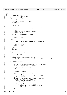```
300 / *301 * doit
302<br>303
     \underset{\star}{\star} Do it.
304 */<br>305 int
              doit( c_info *parent ) {<br>int \begin{bmatrix} re. \text{child} \end{bmatrix}306 int rc, child, my_index;
307 void *status;
307 void<br>308 c_info *info_p;<br>300 struct_timespec_timer;
              s\bar{t}ruct timespec timer;
310
311 if ( debug ) {<br>312 printf( "parent=%#010x\n", (unsigned int)parent );
313 \text{if} 1 \text{ush}(\text{stdout});
314315
316 if ( parent != NULL ) {
317 /*<sup>311</sup> * Synchronize with our siblings so that all the children at<br>319 * a given level have been created before we allow those chi
319 * a given level have been created before we allow those children
320 * to spawn new ones (or do anything else for that matter).
321 */
322 if ( debug ) {
323 printf( "non−root child calling synchronize_children\n" );
324 fflush( stdout );
325 }
\frac{1}{326} my_index = synchronize_children( parent );<br>\frac{327}{1} ( debug ) {
327 if ( debug ) {<br>328 printf( "non-root child has been assigned index %d\n",
\frac{1}{229} my_index );
\lim_{330} fflush(stdout);
331 }
332 } else {
333 /*
334 * The first thread has no one with which to synchronize, so
335 * set some initial values for things.
336 *337 if ( debug ) {<br>338 printf( "root child\n" );<br>fflush( stdout );
340 }
\text{cdepth} = 1;<br>
\text{sup\_index} =\text{my}\_\text{index} = 0;<br>343 \text{node}\_\text{count} =node_count = 1;344 }
345
346<br>347
\begin{array}{ccc}\n\vdots & \star & \text{Figure} & \text{out} & \text{our place in the phread array.}\n\end{array}348 */
349 info_p = &child_info[my_index];
350
351 if ( debug ) {<br>
printf( "thread %d getting to heart of doit.\n", my_index );<br>
printf( "info_p=%x, cdepth=%d, depth=%d\n", (unsigned int)info_p, cdepth, depth );<br>
fflush( stdout );<br>
355 }
356
357 if ( cdepth <= depth ) { 
358
359 /*
* Since the tree is not yet complete (it is not yet tall enough),
\begin{array}{ccc}\n\text{361} \\
\text{362}\n\end{array} * we need to create another level of children.
362 */
363
364 printf( "thread %d creating kids, cdepth=%d\n", my_index, cdepth );
365 fflush( stdout );
366
367 /*
368 * Create breadth children.<br>368 * /
369 */
\textbf{for} ( child = 0; child < breadth; child++ ) {<br>\textbf{if} ( debug ) {
371 if ( debug ) {
372 printf( "thread %d making child %d, ptr=%x\n", my_index,
373 child, (unsigned int)&(info_p−>threads[child]) );
374 fflush( stdout );
375 }
376 if ((rc = pthread_create(&(info_p−>threads[child]), &attr,
377 (void *)doit, (void *)info_p))) {<br>
fprintf( stderr, "pthread_create (doit): %s\n",<br>
379 sys_errlist[rc] );<br>
exit( 3 );
381 else {<br>
if ( debug ) {<br>
printf( "pthread_create made thread %x\n",
384 (unsigned int)&(info_p−>threads[child]) );
385 fflush(stdout);
386 }
387 }
\left.\begin{array}{ccc}\n388\n\end{array}\right\}Registered Version: Next Generation Posix Threading test str01.c Exhibit 11.1−3 pg 6/10
```
389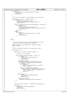```
390 if ( debug ) {<br>printf( "thread %d waits on kids, cdepth=%d\n", my_index,
392 cdepth );<br>393 fflush(stdou
              fflush( stdout );<br>}
394 }
395
396 /*
* Wait for our children to finish before we exit ourselves.<br>398 */
398 * /
\textbf{for} \text{ (child = 0; child < breadth; child++) }400 if ( debug ) {
401 printf( "attempting join on thread %x\n",
402 (unsigned int)&(info_p−>threads[child]) );
^{403} fflush(stdout);
404 }
405 if ((rc = pthread_join((info_p−>threads[child]), &status))) {
406 if ( debug ) {
407 fprintf( stderr,
\frac{408}{1000} "join failed on thread %d, status addr=%x: %s\n",<br>my index. (unsigned int) status. sys
409 my_index, (unsigned int)status, sys_errlist[rc] );<br>fflush(stderr);
                         fflush( stderr );
411 }
412 \overrightarrow{ext}(4);<br>413 \overrightarrow{else}413 } else {
414 if ( debug ) {
415 printf( "thread %d joined child %d ok\n", my_index,
\frac{1}{16} child );
417 fflush(stdout);<br>
418 fflush(stdout);
418 }
419 }
420 }
421
422 } else {
423
424 /*
425 * This is the leaf node case. These children don't create
426 * any kids; they just talk amongst themselves.
427 * /
428 printf( "thread %d is a leaf node, depth=%d\n", my_index, cdepth );<br>fflush( stdout );
              ffflush(stdot);
430
431 / *
<sup>432</sup> * Talk to siblings (children of the same parent node).<br><sup>433</sup> */
433 *434 if ( breadth > 1 ) {
435
<sup>436</sup> for ( child = 0; child < breadth; child++ ) {
437 /*
438 * Don't talk to yourself.
439 * /
440 if ( parent−>child_ptrs[child] != info_p ) {
441 if ( debug ) {
442 printf( "thread %d locking talk_mutex\n",
443 my_index );
444 fflush( stdout );
445 }
<sup>446</sup> pthread_mutex_lock(
pthread_mutex_lock(

<sub>6</sub>(parent->child p
447 &(parent−>child_ptrs[child]−>talk_mutex) );
448 if ( ++parent−>child_ptrs[child]−>talk_count
449 == (breadth − 1) ) {
450 if ( debug ) {
451 printf( "thread %d talk siblings\n", my_index );
452 fflush( stdout );
453 }
454 if ((rc = pthread_cond_broadcast(
455 &parent−>child_ptrs[child]−>talk_condvar))) {
456 fprintf( stderr, "pthread_cond_broadcast: %s\n",
457 sys_errlist[rc] );
458 exit( 5 );
459460 }
461 if ( debug ) {
462 printf( "thread %d unlocking talk_mutex\n",
463 my_index );
464 fflush(stdout);<br>
465
465 }
466 pthread_mutex_unlock(
parent->child_ptr
\&(parent->child_ptr
467 &(parent−>child_ptrs[child]−>talk_mutex) );
468 }
469 }
470
471 /*
472 * Wait until the breadth − 1 siblings have contacted us.
473 * /\frac{1}{474} if ( debug ) {
\frac{1}{475} printf( "thread %d waiting for talk siblings\n",<br>\frac{1}{476} my_index );
476 my_index );<br>477 fflush( stdou
477 fflush(stdout);<br>478 }
478 }
479
Registered Version: Next Generation Posix Threading test str01.c Exhibit 11.1−3 pg 7/10
```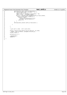```
480 pthread_mutex_lock( &info_p−>talk_mutex );
481 if ( info_p−>talk_count < (breadth − 1) ) {
482 time( &timer.tv_sec );
483 timer.tv_sec += (unsigned long)timeout * 60;
484 timer.tv_nsec = (unsigned long)0;
485 if ((rc = pthread_cond_timedwait(&info_p−>talk_condvar,
486 &info_p−>talk_mutex, &timer))) {
487 fprintf( stderr,
488 "pthread_cond_timedwait (leaf) %d: %s\n", \frac{1}{2} as \frac{1}{2} my index. sys errlist[rcl];
489 \frac{m_{y}\text{index}}{6}, \frac{1}{3}ys_errlist[rc] );
490 exit( 6 );<br>491491 }
492 }
493 pthread_mutex_unlock( &info_p−>talk_mutex );
494
495 }
496
497 }
498
499<br>500
               * Our work is done. We're outta here.
\begin{array}{ccc} 501 & & & * \end{array}<br>502 pri
502 printf( "thread %d exiting, depth=%d, status=%d, addr=%x\n", my_index, cdepth, info_p->status, (unsigned int)info_p);
503 cdepth, info_p−>status, (unsigned int)info_p);
              ffflush(stdout);
505
              pthread exit( 0 );
507
508 /*NOTREACHED*/509 return 0;
510
511}
512
Registered Version: Next Generation Posix Threading test str01.c Exhibit 11.1−3 pg 8/10
```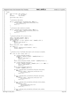```
Registered Version: Next Generation Posix Threading test_str01.c Exhibit 11.1–3 pg 9/10
```

```
513 /*
514 * main
515 */<br>516 intmain( int argc, char *argv[] ) {
517 int rc, ind, total;
518 pthread_t root_thread;
519
520 parse_args( argc, argv );
521
522<br>523
             * Initialize node mutex.
524 * /
525 if ((rc = pthread_mutex_init(&node_mutex, NULL))) {<br>526 i forintf( stderr, "pthread mutex init(node mutex): %
526 fprintf( stderr, "pthread_mutex_init(node_mutex): %s\n",
527 sys_errlist[rc] );
528 exit(7);
529 }
530
531<br>532
532 * Initialize node condition variable.
533 *534 if ((rc = pthread_cond_init(&node_condvar, NULL))) {<br>535 fprintf( stderr, "pthread_cond_init(node_condvar): %s\n",
536 sys_errlist[rc] );<br>537 exit( 8 );
                      exit( 8 );
538 }
539
540
541 * Allocate pthread info structure array.<br>\star/542 */
543 total = num_nodes( breadth, depth );
544 printf( "Allocating %d nodes.\n", total );
545 \left[\begin{array}{cc} \text{eff} \\ \text{eff} \end{array}\right] (child info =
546 if ( \text{child_info} = \text{(c_info *)} \text{malloc} ( total * sizeof(c_info) ))<br>547 = NULL ) {
547 == NULL ) {<br>
perror( "malloc child_info" );
549 exit( 10 );
550 }
            \overleftrightarrow{b}zero( child_info, total * \overleftrightarrow{s}izeof(c_info) );
552
553 if ( debug ) {
553 if (debug ) {<br>554 printf( "Initializing array for %d children\n", total );<br>555 fflush( stdout );
             fflush(stdout );<br>}
556 }
557
558<br>559
<sup>559</sup> * Allocate array of pthreads descriptors and initialize variables.<br>560 */
560 * /
561 for ( ind = 0; ind < total; ind++ ) {
562
563 if ( (child_info[ind].threads = 564 if ( child_info[ind].threads =
564 (pthread_t *)malloc( breadth * sizeof(pthread_t) ))
565 == NULL ) {
566 perror( "malloc threads" );
567 exit( 11 );
568 }
569 bzero( child_info[ind].threads, breadth * sizeof(pthread_t) );
570
571 if ( (child_info[ind].child_ptrs = 572 (c info **)malloc( breadth * s
572 (c_info **)malloc( breadth * sizeof(c_info *) )) == NULL ) {
573 perror( "malloc child_ptrs" );
574 exit( 12 );
575 }
576 bzero( child_info[ind].child_ptrs,
577 breadth * sizeof(c_info *) );
578
579 if ((rc = pthread_mutex_init(&child_info[ind].child_mutex,<br>580 NULL))) {
580 NULL)) \overrightarrow{)} NULL) \overrightarrow{)} For
581 fprintf( stderr, "pthread_mutex_init child_mutex: %s\n",
582 sys_errlist[rc] );
583 exit( 13 );
584 }
585
586 if ((rc = pthread_mutex_init(&child_info[ind].talk_mutex,
587<br>
NULL))) {<br>
fprintf( stderr, "pthread_mutex_init talk_mutex: %s\n",
589 sys_errlist[rc]);<br>590 sys_errlist[rc]);<br>exit( 14 );
590 exit(14);
591 }
592
593 if ((rc = pthread_cond_init(&child_info[ind].child_condvar,
594 NULL)) \left[\begin{array}{c} \text{NULL} \\ \text{for in} \end{array}\right]595 fprintf( stderr,
596 "pthread_cond_init child_condvar: %s\n",<br>sys errlist[rcl];
597 sys_errlist[rc] );
598 exit( 15 );
599 }
600
601 if ((rc = pthread_cond_init(&child_info[ind].talk_condvar,
602 NULL))) {
```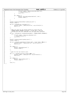```
603 fprintf( stderr, "pthread_cond_init talk_condvar: %s\n",
604 sys_errlist[rc] );
\begin{array}{c} 0.66 \ 605 \ 606 \ 606 \end{array} exit( 16 );
606 }
607
608 if ( debug ) {
609 printf( "Successfully initialized child %d.\n", ind );
610 fflush( stdout );
611 \Big\}612
613 }
614
615 printf( "Creating root thread attributes via pthread_attr_init.\n" );<br>616 filush( stdout );
                Iflush(stdout);
617
618 if ((rc = pthread_attr_init(&attr))) {<br>
619 fprintf( stderr, "pthread_attr_init: %s\n", sys_errlist[rc] );<br>
620 exit( 17 );
621 }
622
623 /*
624 * Make sure that all the thread children we create have the
625 * PTHREAD_CREATE_JOINABLE attribute. If they don't, then the
626 * pthread_join call will sometimes fail and cause mass confusion.<br>67
627 *628 if ((rc = pthread_attr_setdetachstate(&attr, PTHREAD_CREATE_JOINABLE))
629 ) {
630 fprintf( stderr, "pthread_attr_setdetachstate: %s\n", s831 sys_errlist[rc] );
631 sys_errlist[rc] );
632 exit( 18 );
\begin{array}{c} 633 \\ 633 \end{array}634
635 printf( "Creating root thread via pthread_create.\n" );
636 fflush( stdout );
637
638 if ((rc = pthread_create(&root_thread, &attr, (void *)doit, NULL))) {<br>639 fprintf( stderr, "pthread_create: %s\n", sys_errlist[rc] );<br>640 exit( 19 );
641 }
642
643 if ( debug ) {
644 printf( "Doing pthread_join.\n" );
645 \text{If} \text{It} \text{if} \text{It} \text{if} \text{It} \text{if} \text{It} \text{if} \text{if} \text{if} \text{if} \text{if} \text{if} \text{if} \text{if} \text{if} \text{if} \text{if} \text{if} \text{if} \text{if} \text{if} \text{if} \text{if} \text{if} \text{if}646 }
647
648<br>649
                 * Wait for the root child to exit.
650<br>651651 if (( rc = pthread_join(root_thread, NULL) )) {<br>
652 fprintf( stderr, "pthread_join: %s\n", sys_errlist[rc] );<br>
653 exit( 20 );
654 }
655
656 if ( debug ) {<br>
printf( "About to pthread_exit.\n" );<br>
658 fflush( stdout );
659 }
660
661 exit( 0 );
662 }
Registered Version: Next Generation Posix Threading test str01.c Exhibit 11.1–3 pg 10/10
```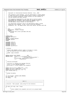```
/*
\begin{matrix} 2 & * \\ 2 & * \end{matrix}3 * Copyright (c) International Business Machines Corp., 2001
\begin{array}{ccc}\n4 & & \star \\
5 & & \star\n\end{array}5 * This program is free software; you can redistribute it and/or modify
6 * it under the terms of the GNU General Public License as published by
7 * the Free Software Foundation; either version 2 of the License, or
8 * (at your option) any later version.<br>9 *
 9 *
* This program is distributed in the hope that it will be useful,<br>** but WITHOUT ANY WARRANTY; without even the implied warranty of<br>** MERCHANTABILITY or FITNESS FOR A PARTICULAR PURPOSE. See<br>** the GNU General Public Lice
\begin{array}{ccc} 14 & & \star \\ 15 & & \star \end{array}You should have received a copy of the GNU General Public License
16 * along with this program; if not, write to the Free Software
17 * Foundation, Inc., 59 Temple Place, Suite 330, Boston, MA 02111−1307 USA
18 */19
20 /*<br>21 * FILE21 * FILE : pth_str01.c
22 * DESCRIPTION : Create n threads
23 * HISTORY:<br>24 * 05/16/
24 * 05/16/2001 Paul Larson (plars@us.ibm.com)
                  25 * −Ported
26<br>27
       \star /
28
29 #ifdef GLOBAL
     #include <pthread.h>
31 #else
     32 #define _PTHREAD_PRIVATE
\frac{33}{34} #include "pthread.h"
     34 #endif
35
36 #include <stdio.h>
37 #include <unistd.h>
38 #include <stdlib.h>
39 #include <string.h>
     40 #include <sys/errno.h>
41
42
43 /* Defines
44 *
45 * DEFAULT_NUM_THREADS: Default number of threads to create,
46 * user can specifiy with [−n] command line option.
\frac{47}{48}48 * USAGE: usage statement
      \star /
50
<sup>51</sup> #define DEFAULT_NUM_THREADS 100<br>52 #define USAGE "\nUsage:%s [-1|-n num threads] [-d
52 #define USAGE "\nUsage: %s [-l | -n num_threads] [-d]\n\n" \<br>53 Test as many as threads as possible\n" \tracking \
54 "\t−n num_threads Number of threads to create\n" \
                                                Debug option\n\n"
56
57 /*
58 * Function prototypes
59<br>60
60 * sys_error (): System error message function
61 * error (): Error message function
62 * parse_args (): Parses command line arguments
63 */
64
65 static void sys_error (const char *, int);
66 static void error (const char *, int);
67 static void parse_args (int, char **);
68 void *thread (void *);
69
70 /*
\begin{array}{cc} 71 & * & \text{Global Variables} \\ 72 & * & \end{array}\star73
    int num_threads = DEFAULT\_NUM\_THREADS;
75 int test_limit = 0;
76 int debug = 0;
77
78
79 /*−−−−−−−−−−−−−−−−−−−−−−−
80 | main () |
81 | ==================================================================== |
\frac{1}{2} \frac{1}{2} \frac{1}{2} \frac{1}{2} \frac{1}{2} \frac{1}{2} \frac{1}{2} \frac{1}{2} \frac{1}{2} \frac{1}{2} \frac{1}{2} \frac{1}{2} \frac{1}{2} \frac{1}{2} \frac{1}{2} \frac{1}{2} \frac{1}{2} \frac{1}{2} \frac{1}{2} \frac{1}{2} \frac{1}{2} \frac{1}{2} 83 \frac{1}{84} Function: Main program (see prolog for more details)
\frac{1}{2} \frac{1}{2} \frac{1}{2} \frac{1}{2} \frac{1}{2} \frac{1}{2} \frac{1}{2} \frac{1}{2} \frac{1}{2} \frac{1}{2} \frac{1}{2} \frac{1}{2} \frac{1}{2} \frac{1}{2} \frac{1}{2} \frac{1}{2} \frac{1}{2} \frac{1}{2} \frac{1}{2} \frac{1}{2} \frac{1}{2} \frac{1}{2} 85 +−−−−−−−−−−−−−−−−−−−−−−−−−−−−−−−−−−−−−−−−−−−−−−−−−−−−−−−−−−−−−−−−−−−−−*/
86 int main (int argc, char **argv)
\begin{matrix} 87 & \left\{ \\ 88 & \right. \end{matrix}88 /*
89 * Parse command line arguments and print out program header
90 */
Registered Version: Next Generation Posix Threading test_str02.c Exhibit 11.1−4 pg 1/3
```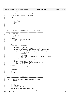```
91 parse_args (argc, argv);
92
93 if(test_limit)<br>94 printf ("\n
94 print \overline{f} ("\n Creating as many threads as possible\n\n");<br>95 else {
95 } else {
96 printf ("\n Creating %d threads\n\n", num_threads);<br>97
97 }
\frac{1}{28} thread (0);
99
100<br>101* Program completed successfully...
102 */
103 printf ("\ndone...\n\n");
104 fflush (stdout);
105 exit (0);
106 }
107
108
109 /*−−−−−−−−−−−−−−−−−−−−−−−−−−−−−−−−−−−−−−−−−−−−−−−−−−−−−−−−−−−−−−−−−−−−−+
110 | thread () |
111 | ==================================================================== |
112 | |
113 | Function: Recursively creates threads while num < num_threads |
\frac{1}{114} |
115 +−−−−−−−−−−−−−−−−−−−−−−−−−−−−−−−−−−−−−−−−−−−−−−−−−−−−−−−−−−−−−−−−−−−−−*/
116 void *thread (void *parm)
117 \frac{1}{2}118 int num = (int) parm;
119 pthread_t th;
120 pthread_attr_t attr;
121
122 if (debug) {
123 printf ("\tThread [%d]: new\n", num);<br>
124 fflush (stdout);
\begin{matrix} 125 \end{matrix}126
127 / *
128 * Create threads while num < num_threads...
129<br>130if (test_limit || (num < num_threads)) {
131
132 if (pthread_attr_init (&attr))<br>133 if (sys_error ("pthread_attr_in
133 sys_error ("pthread_attr_init failed", __LINE__);
134 if (pthread_attr_setdetachstate (&attr, PTHREAD_CREATE_JOINABLE))
sys_error ("pthread_attr_setdetachstate failed", __LINE_);<br>
if (pthread_create (&th, &attr, thread, (void *)(num + 1))) {<br>
if (test_limit) {<br>
printf ("Testing pthread limit, %d pthreads created.\n", num);<br>
pthread_exit(0);
141 if (errno == EAGAIN) {
142 fprintf (stderr, "Thread [%d]: unable to create more threads!\n", num);
143 return NULL;
\left\{\right\}145 else
146 sys_error ("pthread_create failed", __LINE_);<br>
147
\{147\}148 if (test_limit & ((num % 1000) == 0))<br>149 printf ("Testing printead limit: %d printeads cr
149 printf ("Testing pthread limit: %d pthreads created so far...\n", num);<br>150 pthread join (th, (void *) NULL);
                     pthread_join (th, (void *) NULL);
151 }
152 if (debug) {<br>153 prin
153 printf ("\tThread [%d]: done\n", num);
154 fflush (stdout);
155 }
156
157 pthread_exit(0);
158
159 /*NOTREACHED*/<br>160 return 0;160 return 0;
161 }
162
163
164 /*−−−−−−−−−−−−−−−−−−−−−−−−−−−−−−−−−−−−−−−−−−−−−−−−−−−−−−−−−−−−−−−−−−−−−+
165 | parse_args ()
166 | ==================================================================== |
167 | |
168 | Function: Parse the command line arguments & initialize global |
169 | variables.
170 | |
171 +−−−−−−−−−−−−−−−−−−−−−−−−−−−−−−−−−−−−−−−−−−−−−−−−−−−−−−−−−−−−−−−−−−−−−*/
172 static void parse_args (int argc, char **argv)
\begin{matrix} 173 \\ 174 \end{matrix}\frac{174}{175} int i;
                     errflaq = 0;176 char *program_name = *argv;
177
178 while ((i = getopt(argc, argv, "dln:?")) != EOCF) {<br>179 switch (i) {
                     switch (i) \{ case 'd':
180 case 'd': \sqrt{*} debug option */Registered Version: Next Generation Posix Threading test_str02.c Exhibit 11.1−4 pg 2/3
```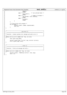```
181<br>182 break;
182 break;<br>
183 break;<br>
183 case ']':
183 case 'l': \frac{1}{183} \frac{1}{184} test pthread limit */
184 test_limit++;<br>\frac{1}{185} test_limit++;
185 break;<br>186 case 'n':
                                                    186 case 'n': /* number of threads */
187 num_threads = atoi (optarg);<br>188 break;
188 break;<br>
189 case '?':
189 case '?':<br>190 case e
190 errflag++;<br>
190 errflag++;<br>
break;
                    191 break;
\left\{\n \begin{array}{ccc}\n 192 & & \\
 \end{array}\n \right\}\begin{array}{c} 132 \\ 193 \end{array}194
195 /* If any errors exit program */
196 if (errflag) {
197 fprintf (stderr, USAGE, program_name);
198 ext{(2)};
\begin{bmatrix} 199 \\ 200 \end{bmatrix}200 }
201
202
203 /*−−−−−−−−−−−−−−−−−−−−−−−−−−−−−−−−−−−−−−−−−−−−−−−−−−−−−−−−−−−−−−−−−−−−−+
204 | sys_error () |
     205 | ==================================================================== |
206 | |
207 | Function: Creates system error message and calls error () |
\frac{208}{1}209 +−−−−−−−−−−−−−−−−−−−−−−−−−−−−−−−−−−−−−−−−−−−−−−−−−−−−−−−−−−−−−−−−−−−−−*/
210 static void sys_error (const char *msg, int line)
211 \{212char syserr_msg [256];
213
214 sprintf (syserr_msg, "%s: %s\n", msg, strerror (errno));
215 error (syserr_msg, line);
216 }
217
218
219219 /*−−−−−−−−−−−−−−−−−−−−−−−−−−−−−−−−−−−−−−−−−−−−−−−−−−−−−−−−−−−−−−−−−−−−−+
                                    error ()
221 | ==================================================================== |
222 \left| \right|223 \int Function: Prints out message and exits...<br>224 \int224 \left| \right|225 +−−−−−−−−−−−−−−−−−−−−−−−−−−−−−−−−−−−−−−−−−−−−−−−−−−−−−−−−−−−−−−−−−−−−−*/
226 static void error (const char *msg, int line)
227 \{228228 fprintf (stderr, "ERROR [line: %d] %s\n", line, msg);
229 exit (−1);
230 }
Registered Version: Next Generation Posix Threading test_str02.c Exhibit 11.1−4 pg 3/3
```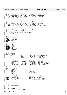```
4^*\begin{matrix} 2 & * \\ 2 & * \end{matrix}3 * Copyright (c) International Business Machines Corp., 2001
\begin{array}{ccc}\n4 & & \star \\
5 & & \star\n\end{array}5 * This program is free software; you can redistribute it and/or modify
6 * it under the terms of the GNU General Public License as published by
7 * the Free Software Foundation; either version 2 of the License, or<br>7 * the Free Software Foundation; either version 2 of the License, or
8 * (at your option) any later version.<br>9 *
 9 *
 * This program is distributed in the hope that it will be useful,<br>** but WITHOUT ANY WARRANTY; without even the implied warranty of<br>** MERCHANTABILITY or FITNESS FOR A PARTICULAR PURPOSE. See<br>** the GNU General Public Lice
\begin{array}{ccc} 14 & & \star \\ 15 & & \star \end{array}You should have received a copy of the GNU General Public License
 16 * along with this program; if not, write to the Free Software
17 * Foundation, Inc., 59 Temple Place, Suite 330, Boston, MA 02111−1307 USA
18 */19
20 /*<br>21 * FILE
       * FILE : pth\_str01.c<br>* DFCOPITON : areate a fract
<sup>22</sup> * DESCRIPTION : create a tree of threads does calculations, and<br><sup>23</sup> * Teturns result to parent
23 * returns result to parent<br>
24 * HISTORY:
\begin{array}{ccc} 24 & * & HISTORY: \\ 25 & * & 05/16/ \end{array}05/16/2001 Paul Larson (plars@us.ibm.com)
26 \times -Ported\frac{27}{28}\star/29
30 #ifdef GLOBAL
31 #include <pthread.h><br>32 #else
     32 #else
 33 #define _PTHREAD_PRIVATE
34 #include "pthread.h"
35 #endif
36
 37 #include <stdio.h>
38 #include <unistd.h>
39 #include <stdlib.h>
     #include <string.h>
41 #include <errno.h>
     42 #include <fcntl.h>
 43 #include <sys/types.h>
44 #include <sys/stat.h>
45 #include <sys/mman.h>
rac{46}{47}47 #define MAXTHREADS 50000
48
49 /* Type definition */<br>50 struct kid info {
     struct kid_info {
51 long sum; /* sum of childrens indexes plus our own */<br>52 int index; /* our index into the array */
 52 int index; /* our index into the array */
53 int status; /* return status of this thread */
 % int child_count; /* Count of children created */<br>ss int talk_count; /* Count of siblings that we talked to */<br>pthread_t *threads; /* dynamic array of thread id of kids */<br>sr pthread_mutex_t talk_mutex; /* mutex for the t
 58 pthread_mutex_t child_mutex; /* mutex for the child_count */
59 pthread_cond_t talk_condvar; /* condition variable for talk_count */
 60 pthread_cond_t child_condvar; /* condition variable for child_count */
61 struct kid_info **child_ptrs; /* dynamic array of ptrs to kids */
62 \t3 \t3<br>63 \t3263 typedef struct kid_info c_info;
64
65
66 /* Global variables */<br>67 int depth = 3;
\begin{array}{ccc} 67 & \text{int} \\ 68 & \text{int} \end{array} depth = 3;
68 int breadth = 4i<br>69 int timeout = 30i69 int timeout = 30; /* minutes */
70 int cdepth; /* current depth */
71 int debug = 0;<br>72 int shared fd
                  shared_fd = 0;73
 % c_info *child_info;<br>% int mode_count; /* pointer to info array */<br>% pthread_mutex_t node_mutex; /* number of nodes created so far */<br>% mutex for the node_count */<br>% condition variable for node_count */<br>% condition variab
78 pthread_mutex_t node_nutex;<br>
78 pthread_cond_t node_mutex;<br>
78 pthread_cond_t node_condvar;<br>
78 pthread_attr_t attributes for created threads */<br>
78 pthread_attr_t attributes for created threads */<br>
78 pthread_attr_t at
79
\begin{array}{ll}\n 80 & \text{int} & \text{use\_shared} = 0; \\
 81 & \text{trvedef} & \text{struct} & \text{shared area} & \text{share}\n \end{array}81 typedef struct shared_area shared_area_t;<br>82 struct shared_area {
 82 struct shared_area {
83 int initialized;
84 int locked;
85 pthread_mutex_t mutex;
86 };
87
88 int num_nodes(int, int);<br>89 int synchronize children
     int synchronize_children(c_info *) \; ;
90 void *doit(void *);
Registered Version: Next Generation Posix Threading test_str03.c Exhibit 11.1−5 pg 1/8
```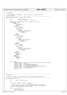```
91
92 /*−−−−−−−−−−−−−−−−−−−−−−−−−−−−−−−−−−−−−−−−−−−−−−−−−−−−−−−−−−−−−−−−−−−−−−−−−−−−−−−−*
93 * parse_args
94<br>95
* Parse command line arguments. Any errors cause the program to exit<br>* at this point.
     * at this point.<br>*----------------
97 *−−−−−−−−−−−−−−−−−−−−−−−−−−−−−−−−−−−−−−−−−−−−−−−−−−−−−−−−−−−−−−−−−−−−−−−−−−−−−−−−*/
98 static void parse_args( int argc, char *argv[] )
99 \{<br>100
100 int 101 opt, errflag = 0;<br>101 int 101 bflag = 0, dflag =
                                bflag = 0, dflag = 0, tflag = 0;
102
103 while ( (opt = getopt( argc, argv, "b:d:t:Ds?" )) != EOF ) {<br>104 switch ( opt ) {
104 switch ( opt ) {
105 case 's':
106 use_shared = 1;<br>107 break;
107<br>108 break;<br>108 case 'b':
108 case 'b':<br>109 if (
109 if ( bflag )
110 \text{errflag++};else {
112 bflag++;<br>113 breadth :
113 breadth = atoi( optarg );<br>\mathbf{if} ( breadth <= 0 )
114 if ( breadth \leq 0 )<br>115
                                     errflag++;\left\{\right. \right\}117 break;
118 case 'd':
119 if ( dflag )
                                errflag++;121 else {<br>122 df
                                -<br>dflag++;
123 depth = atoi( optarg );
124 if ( depth <= 0 )
rac{125}{126} errflag++;
126 }
127 break;<br>128 case 't':
128 case 't':<br>129 if (
129 if (tflag )<br>130 if (tflag )
                                errflag++;
131 else {<br>
132 tflag++;
133 timeout = atoi( optarg );<br>
\mathbf{if} ( timeout <= 0 )
134 if ( timeout <= 0 )<br>135 if ( timeout <= 0 )
                                     errflag++;
\left\{\n \begin{array}{ccc}\n 136 & & \\
 \end{array}\n \right\}137<br>138 break;<br>138 case 'D':
138 case 'D':
139 \text{debug} = 1;<br>140 \text{break};\frac{\text{break}}{\text{21}}141 case '?':
142 default:<br>
143 default:<br>
143 errf
143 errflag++;<br>
144 break;
144 break;<br>145 break;
\left\{\n \begin{array}{ccc}\n 145 & & \\
 \end{array}\n \right\}146 }
147
148 if ( errflag )<br>
149 forint:
149<br>
fprintf (stderr, "usage: %s [-b <num>] [-d <num>] [-t <num>] [-s] [-D]", argv[0]);<br>
fprintf (stderr, "where:\u"");<br>
fprintf (stderr, "kt-b <num>\theadth of child nodes\n");<br>
fprintf (stderr, "\t-d <num>\tdepth of chil
\left\{\n \begin{array}{ccc}\n 157 & & \n \end{array}\n \right\}158
159 }
160
161
162 /*−−−−−−−−−−−−−−−−−−−−−−−−−−−−−−−−−−−−−−−−−−−−−−−−−−−−−−−−−−−−−−−−−−−−−−−−−−−−−−−−* 
     * num_nodes
164
165 * Caculate the number of child nodes for a given breadth and depth tree.
166 *−−−−−−−−−−−−−−−−−−−−−−−−−−−−−−−−−−−−−−−−−−−−−−−−−−−−−−−−−−−−−−−−−−−−−−−−−−−−−−−−*/
167 int num_nodes( int b, int d ) 168 \t{1}168 \{<br>169int n, sum = 1, partial_exp = 1;
170
171 /*172 * The total number of children = sum ( b * n )<br>
173 *173 * n=0−>d
174 * Since b ** 0 == 1, and it's hard to compute that kind of value
175 * in this simplistic loop, we start sum at 1 (above) to compensate
176 * and do the computations from 1−>d below.
177 *178 for ( n = 1; n <= d; n++ ) {<br>
partial_exp *= b;
lim_{r \to \infty} += partial_{exp};Registered Version: Next Generation Posix Threading test_str03.c Exhibit 11.1−5 pg 2/8
```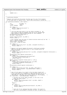```
181 }
182
183 return( sum );
   \{185
186
187 /*−−−−−−−−−−−−−−−−−−−−−−−−−−−−−−−−−−−−−−−−−−−−−−−−−−−−−−−−−−−−−−−−−−−−−−−−−−−−−−−−* 
188 * synchronize_children
189<br>190
190 * Register the child with the parent and then wait for all of the children
       at the same level to register also. Return when everything is synched up.
192 *−−−−−−−−−−−−−−−−−−−−−−−−−−−−−−−−−−−−−−−−−−−−−−−−−−−−−−−−−−−−−−−−−−−−−−−−−−−−−−−−*/
193 int synchronize_children( c_info *parent ) 
194 \{<br>195int my_index, rc;<br>c info *info p;
196 c_info *info_p;
               z100 struct timespec
198
199 if ( debug ) {<br>
printf( "trying to lock node_mutex\n" );<br>
fflush( stdout );
202 }
203
204 /* Lock the node_count mutex to we can safely increment it. We<br>205 * will unlock it when we broadcast that all of our siblings ha
205 * will unlock it when we broadcast that all of our siblings have
206 * been created or when we block waiting for that broadcast. */
207 pthread_mutex_lock( &node_mutex );
208 my_index = node_count++;
209
210 printf( "thread %d started\n", my_index );
211 211 212 213 214 214212
213 /* Get a pointer into the array of thread structures which will be "me". */
214 info_p = &child_info[my_index];
215 \text{info}_p-\text{}\text{-}\text{index} = \text{my}_\text{index};<br>216 \text{info}_p-\text{}\text{-}\text{sum} = (\text{long}) my i
               \frac{2}{2} info_p->sum = (long) my_index;
217
218 if (debug)<br>219 printf(
219 printf( "thread %d info_p=%x\n", my_index, (unsigned int)info_p );
220 fflush( stdout );
221 }
222
223 /* Register with parent bumping the parent's child_count variable.<br>224 * Make sure we have exclusive access to that variable before we
<sup>224</sup> * Make sure we have exclusive access to that variable before we<br><sup>225</sup> * do the increment. */
                 * do the increment.
226 if ( debug ) {
227 printf( "thread %d locking child_mutex %x\n", my_index, (unsigned int)&parent−>child_mutex );
228 fflush( stdout );
\frac{229}{230}230 pthread_mutex_lock( &parent->child_mutex );<br>
231 if ( debug ) {<br>
232 printf( "thread %d bumping child_count (currently %d)\n",
233 my_index, parent->child_count );
234 fflush(stdout);
235 \Big\}236 parent->child_ptrs[parent->child_count++] = info_p;<br>237 if (debug) {
237 if ( debug ) {<br>
printf( "thread %d unlocking child_mutex %x\n", my_index,
239 (unsigned int)&parent->child_mutex );<br>240 fflush(stdout );
                     fflush(stdout );
241 }
242 pthread_mutex_unlock( &parent−>child_mutex );
243<br>244a if ( debug ) {<br>
printf( "thread %d node_count = %d\n", my_index, node_count );<br>
printf( "expecting %d nodes\n", num_nodes(breadth, cdepth) );
247 fflush(stdout);
248 }
249
250 /* Have all the nodes at our level in the tree been created yet?
251 * If so, then send out a broadcast to wake everyone else up (to let
252 * them know they can now create their children (if they are not
253 * leaf nodes)). Otherwise, go to sleep waiting for the broadcast. */
254 if ( node_count == num_nodes(breadth, cdepth) ) {
255
256 /* Increase the current depth variable, as the tree is now<br>257 * fully one level taller. */257 * fully one level taller.<br>258 if (debug) {
<sup>258</sup> if ( debug ) {<br>printf( "thread %d doing cdepth++(%d)\n", my_index, cdepth );
260 \text{If} \text{It} \text{if} \text{It} \text{if} \text{It} \text{if} \text{It} \text{if} \text{It} \text{if} \text{It} \text{if} \text{It} \text{if} \text{It} \text{if} \text{It} \text{if} \text{It} \text{if} \text{It} \text{if} \text{It} \text{if} \text{It} \text{if}261 }
262 cdepth++;
263
<sup>264</sup> if ( debug ) {<br>
printf( "thread %d sending child_mutex broadcast\n", my_index );
266 fflush( stdout );<br>267 }
267 }
268
269 /* Since all of our siblings have been created, this level of
270 * the tree is now allowed to continue its work, so wake up the
Registered Version: Next Generation Posix Threading test_str03.c Exhibit 11.1−5 pg 3/8
```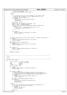```
271 * rest of the siblings. */
272 pthread_cond_broadcast( &node_condvar );
273
274 } else {
275
276 /* In this case, not all of our siblings at this level of the
277 * tree have been created, so go to sleep and wait for the
278 * broadcast on node_condvar.<br>279 if (debug) {
279 if ( debug ) {<br>
printf( "thread %d waiting for siblings to register\n",
281 my_index );
282 fflush( stdout );
283 }
284 time( \text{time} ( \text{time} timer.tv_sec );<br>
285
285 timer.tv_sec += (unsigned long)timeout * 60;
286 timer.tv_nsec = (unsigned long)0;
287 if ((rc = pthread_cond_timedwait(&node_condvar, &node_mutex,
288 &timer))) {
289 fprintf( stderr, "pthread_cond_timedwait (sync) %d: %s\n",
290 my_index, sys_errlist[rc] );
291 exit( 2 );
292 }
293
294 if ( debug ) {<br>
printf( "thread %d is now unblocked\n", my_index );
296 fflush(stdout);<br>
297 }
297 }
298
299 }
300\frac{300}{301} /* Unlock the node_mutex lock, as this thread is finished initializing. */<br>302 if ( debug ) {
302 if ( debug ) {<br>
printf( "thread %d unlocking node_mutex\n", my_index );<br>
304 }<br>
305 }
306 pthread_mutex_unlock( &node_mutex );
307 if ( debug ) {<br>308 printf( "thread %d unlocked node_mutex\n", my_index );
309 \text{If} lush(stdout);
310 }
311
312 if ( debug ) {<br>313 printf( "synchronize_children returning %d\n", my_index );<br>314 fflush( stdout );
315 }
316
317 return(my_index);
   \left\{ \right\}319
320
321 /*−−−−−−−−−−−−−−−−−−−−−−−−−−−−−−−−−−−−−−−−−−−−−−−−−−−−−−−−−−−−−−−−−−−−−−−−−−−−−−−−* 
322 \times doit
323 *
324 * Do it.<br>325 *------
                                    325 *−−−−−−−−−−−−−−−−−−−−−−−−−−−−−−−−−−−−−−−−−−−−−−−−−−−−−−−−−−−−−−−−−−−−−−−−−−−−−−−−*/
326 void *doit( void *param ) 
327 \frac{2}{3}\frac{328}{329} c_info *parent = (c_info *) param;<br>\frac{7}{329} int rc. child. my index
329 int rc, child, my_index;<br>330 void *status;
             void *status;<br>c info *info p;
\sum_{331} c_info *info_p;
332 struct timespec timer;
333<br>334
334 if ( debug ) {<br>335 printf( "parent=%#010x\n", (unsigned int)parent );<br>336 fflush( stdout );
337 }
338
339 if ( parent != NULL ) {
340 /* Synchronize with our siblings so that all the children at
341 * a given level have been created before we allow those children
342 * to spawn new ones (or do anything else for that matter). */
343 if ( debug ) {<br>printf( "non-root child calling synchronize_children\n" );
345 fflush( stdout );
346 }
\text{347} my_index = synchronize_children( parent );<br>\text{348} if ( debug ) {
<sup>348</sup> if ( debug ) {<br>
printf( "non-root child has been assigned index %d\n",
350 my_index );
351 fflush( stdout );
352<br>353353 } else {<br>354 /* 7
354 /* The first thread has no one with which to synchronize, so<br>355 * set some initial values for things. */<br>357 if ( debug ) {<br>357 printf( "root child\n" );
358 fflush(stdout);
359 }
360 cdepth = 1;
Registered Version: Next Generation Posix Threading test_str03.c Exhibit 11.1–5 pg 4/8
```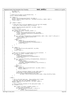```
361 my_index = 0;
362 node_count = 1;
363 }
364
365 /* Figure out our place in the pthread array. */
366 info_p = &child_info[my_index];
367
368 if ( debug ) {
369 printf( "thread %d getting to heart of doit.\n", my_index );
370 printf( "info_p=%x, cdepth=%d, depth=%d\n", (unsigned int)info_p, cdepth, depth );
371 \text{If} 1 \text{ush} \text{stdout} \}372 }
373
374 if ( cdepth <= depth )
375 { 
376 /* Since the tree is not yet complete (it is not yet tall enough),
377 * we need to create another level of children. */
378
379 printf( "thread %d creating kids, cdepth=%d\n", my_index, cdepth );<br>fflush( stdout );
                   fflush( stdout );
381
382 \frac{7}{5} Create breadth children.<br>383 for (child = 0; child < bre
383 for ( child = 0; child < breadth; child++ ) {<br>384 if ( debug ) {
384 if ( debug ) {
385 printf( "thread %d making child %d, ptr=%x\n", my_index,
386 child, (unsigned int)&(info_p−>threads[child]) );
387 fflush( stdout );
\left\{\right. \right\}389 if ((rc = pthread_create(&(info_p->threads[child]), &attr, doit, (void *) info_p))) {<br>390 sys_errlist[rc] );<br>exit( 3 );<br>exit( 3 );
393 } else {
394 if ( debug ) {
395 printf( "pthread_create made thread %x\n" (unsigned int) \& (info p->threads)
                                      (unsigned int)&(info_p->threads[child]) );
397 fflush( stdout );
398 }
399 }
400 }
401
402 if ( debug ) {
403 printf( "thread %d waits on kids, cdepth=%d\n", my_index,
<sup>404</sup> cdepth );<br>
<sup>405</sup> fflush(stdou
                    fflush(\intstdout );
406 }
407
408 \frac{1}{2} /* Wait for our children to finish before we exit ourselves. */
409 for ( child = 0; child < breadth; child++ ) {<br>\mathbf{if} ( debug ) {
410 if ( debug ) {<br>
411 printf( "attempting join on thread %x\n",
412 (unsigned int)&(info_p->threads[child]) );<br>fflush( stdout );
413 fflush(stdout);<br>
414 fflush(stdout);
414 }
415 if ((rc = pthread_join((info_p−>threads[child]), &status))) {
416 if ( debug ) {<br>417 if ( debug ) {<br>fprintf ( s
                                   fprintf( stderr,
418 \frac{1}{2} "join failed on thread %d, status addr=%x: %s\n",<br>
\frac{1}{2} and \frac{1}{2} and \frac{1}{2} and \frac{1}{2} and \frac{1}{2} and \frac{1}{2} and \frac{1}{2} and \frac{1}{2} and \frac{1}{2} and \frac{1}{2} and \frac{1}{2} and \419 my_index, (unsigned int)status, sys_errlist[rc] );<br>fflush(stderr);
                              fflush( stderr );
421 }
422<br>
423 exit( 4 );<br>
425 if ( debug ) {<br>
printf( "thread %d joined child %d ok\n", my_index, child );<br>
427 fflush( stdout );
428
429 /* Add all childrens indexes to your index value */<br>info p->sum += info p->child ptrs[child]->sum;
430 info_p->sum += info_p->child_ptrs[child]->sum;<br>printf("thread%d adding child thread %d to sum = %ld\n",<br>tho_p−>child_ptrs[child]->index, (long int)info_p->sum);
433 }
434 }
435
436 } else {
437
438 \frac{438}{4} /* This is the leaf node case. These children don't create<br>
\frac{439}{4} any kids: they just talk amongst themselves \frac{4}{3}439 * any kids; they just talk amongst themselves. */
440 printf( "thread %d is a leaf node, depth=%d\n", my_index, cdepth );
f = -1; f = 1; f = 1; f = 1; f = 1; f = 1; f = 1; f = 1; f = 1; f = 1; f = 1; f = 1; f = 1; f = 1; f = 1; f = 1; f = 1; f = 1; f = 1; f = 1; f = 1; f = 1; f = 1; f = 1; f = 1; f = 1; f = 1; f = 1442
443 \frac{1}{44} /* Talk to siblings (children of the same parent node). */<br>444 if ( breadth > 1 ) {
                   if ( breadth > 1 ) {
445
446 for ( child = 0; child < breadth; child++ ) {
447 /* Don't talk to yourself. */
448 if ( parent−>child_ptrs[child] != info_p ) {
449 if ( debug ) {
450 printf( "thread %d locking talk_mutex\n",
Registered Version: Next Generation Posix Threading test_str03.c Exhibit 11.1−5 pg 5/8
```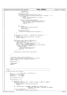```
451 my_index );
452 fflush( stdout );
453 }
454 pthread_mutex_lock(<br>
6(parent->child p<br/>
6(parent->child p
455 &(parent−>child_ptrs[child]−>talk_mutex) );
456 if ( ++parent−>child_ptrs[child]−>talk_count == (breadth − 1) ) {
457<br>
458 if ( debug ) {<br>
printf( "thread %d talk siblings\n", my_index );
469 fflush(stdout);
460 }
461 if ((rc = pthread_cond_broadcast(
462 &parent−>child_ptrs[child]−>talk_condvar))) {
463 fprintf( stderr, "pthread_cond_broadcast: %s\n",
464 sys_errlist[rc] );<br>\frac{1}{465} sys_errlist[rc] );
                                    exit( 5 );
466 }
467 }
468 if ( debug ) {
469 printf( "thread %d unlocking talk_mutex\n",
470 my_index );
471 fflush( stdout );
472 }
473 pthread_mutex_unlock(\frac{1}{474} and \frac{1}{474} pthread_mutex_unlock(
474 &(parent−>child_ptrs[child]−>talk_mutex) );
475 }
476 }
477
478 /* Wait until the breadth − 1 siblings have contacted us. */
479 if ( debug ) {
480 printf( "thread %d waiting for talk siblings\n", my_index );
481<br>
482<br>
\left\{\n \begin{array}{c}\n \text{if} \text{1ush} \text{ if} \text{1wh} \text{ if} \text{1wh} \text{ if} \text{1wh} \text{ if} \text{1wh} \text{ if} \text{1wh} \text{ if} \text{1wh} \text{ if} \text{1wh} \text{ if} \text{1wh} \text{ if} \text{1wh} \text{ if} \text{1wh} \text{ if} \text{1wh} \text{ if} \text{1wh} \text{ if} \text{1wh} \text{ if} \text{1wh} \text{ if} \text{1wh} \text{ if} \text{1wh} \text{ if} \text{1wh}482 }
483<br>484
484 pthread_mutex_lock( &info_p->talk_mutex );<br>
if ( info_p->talk_count < (breadth - 1) )
485 if ( info_p−>talk_count < (breadth − 1) ) {
486 time( &timer.tv_sec );
487 timer.tv_sec += (unsigned long)timeout * 60;
488 timer.tv_nsec = (unsigned long)0;
489 if ((rc = pthread_cond_timedwait(&info_p−>talk_condvar,
                             490 &info_p−>talk_mutex, &timer))) {
491 fprintf( stderr, water printf( stderr, 1992)
492 "pthread_cond_timedwait (leaf) %d: %s\n",<br>
my_index, sys_errlist[rc]);
493 my_index, sys_errlist[rc]);<br>
exit(6);
494 exit( 6 );<br>495495 }
496 }
497 pthread_mutex_unlock( &info_p−>talk_mutex );
498<br>499499 }
500
501 }
502
503 /* Our work is done. We're outta here. */<br>504 printf ( "thread %d exiting, depth=%d, status=%d, addr=9
504 printf( "thread %d exiting, depth=%d, status=%d, addr=%x\n", my_index,<br>cdepth_info_n->status_(unsigned_int)info_n);
               cdepth, info_p->status, (unsigned int)info_p);
506 fflush(stdout);
507
508 pthread_exit( 0 );
509
510 /*NOTREACHED*/
511 return 0;
512 }
513
514
515
516 /*−−−−−−−−−−−−−−−−−−−−−−−−−−−−−−−−−−−−−−−−−−−−−−−−−−−−−−−−−−−−−−−−−−−−−−−−−−−−−−−−* 
517 * main<br>518 *-----
                                                   \star /
519 int main( int argc, char *argv[] ) \begin{bmatrix} 520 \\ 520 \end{bmatrix}\{521 int rc, ind, total, i_initialized = 0;<br>522 pthread_mutexattr_t_myattr;
522 pthread_mutexattr_t myattr;<br>523 pthread_t root_thread
523 pthread_t root_thread;
524 shared_area_t *sa = NULL;
525
526 parse_args( argc, argv );
527
528 if (use_shared == 1) {
529
530 if (shared_fd == 0)<br>531 if (shared fd = ope
                      \frac{1}{3}shared_fd = open("test_str03m", O_RDWR, (S_IRWXU | S_IRWXG | S_IRWXO));
532 if (shared_fd < 0) {<br>fprintf(stderr, "unable to open shared memory\n");
534 exit(1);
535 }
536 sa = (shared_area_t *)mmap(NULL, (sizeof(struct shared_area)), 
537 PROT_READ | PROT_WRITE | PROT_EXEC, MAP_SHARED, 
538 shared_fd, 0);
539 if (sa == MAP_FAILED) {
540 fprintf(stderr, "unable to map shared memory\n");
Registered Version: Next Generation Posix Threading test_str03.c Exhibit 11.1−5 pg 6/8
```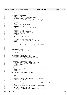```
541 exit(1);
542 }
543 }
544
545
546 /* Initialize shared mutex... */
547 if (sa−>initialized != 1) {<br>548 fprintf(stderr,"shared memory was not initialized.\n");
549 pthread_mutexattr_init(&myattr);<br>550 pthread_mutexattr_setpshared(&my
550 pthread_mutexattr_setpshared(&myattr, PTHREAD_PROCESS_SHARED);<br>
if ((rc = pthread mutex init(&(sa->mutex), &myattr))) {
551 if ((rc = pthread_mutex_init(&(sa->mutex), &myattr))) {<br>552 fprintf( stderr, "pthread_mutex_init(test_mutex): %s\n",<br>553 sys_errlist[rc] );
\frac{554}{554} exit( 7 );
555 }
556 fprintf(stderr, "mutex was initialized.\n");<br>557 sa->initialized = 1;
557 sa−>initialized = 1;<br>558 i initialized = 1;
558 i_initialized = 1;<br>f58 i_initialized = 1;<br>msync(sa, sizeof(s
559 msync(sa, sizeof(struct shared_area), MS_INVALIDATE | MS_SYNC);<br>560 else
560 } else
                       fprintf(stderr, "shared memory was initialized.\n");
562
563 if (i_initialized == 1)<br>564 i fprintf(stderr, "I did
564 fprintf(stderr,"I did initialize, spinning...\n");
565 fprintf(stderr,"waiting for partner to lock.\n");
566 while (sa−>locked != 1) {
567 sleep(1);<br>568 continue;
                            continue;
569 }
570 fprintf(stderr, "partner is locked.\n");<br>
}
571 }
572
573 if ((rc = pthread_mutex_lock(&(sa−>mutex)))) {
574 fprintf(stderr, "unable to grab test_mutex, rc = %d\n", rc);
575 exit( 7);
576 }
577 fprintf(stderr, "I am locked.\n");<br>578 53a->locked = 1;
578 579 sa−>locked = 1;<br>579 msync(sa, sized
                  579 msync(sa, sizeof(struct shared_area), MS_INVALIDATE | MS_SYNC);
580
581 }
582
583
584 \frac{1}{2} /* Initialize node mutex. */<br>585 if ((rc = pthread mutex init)
585 if ((rc = pthread_mutex_init(&node_mutex, NULL))) {<br>586 fprintf( stderr, "pthread_mutex_init(node_mutex): %s\n",<br>587 sys_errlist[rc] );
588 exit(7);
             \left\{ \right\}590
591 /* Initialize node condition variable. */
592 if ((rc = pthread_cond_init(&node_condvar, NULL))) {
593 fprintf( stderr, "pthread_cond_init(node_condvar): %s\n",
594 sys_errlist[rc] );
595 exit( 8 );
596 }
597
598 /* Allocate pthread info structure array. */
599 if ( (total = num_nodes( breadth, depth )) > MAXTHREADS ) {
600 fprintf( stderr, "Can't create %d threads; max is %d.\n",
601 total, MAXTHREADS );
602 exit( 9 );
603<br>604
             \text{printf} ( "Allocating %d nodes.\n", total );
605 fflush( stdout );
606 if ( (child_info = (c_info *)malloc( total * sizeof(c_info) )) == NULL ) {
607 perror( "malloc child_info" );
608 exit( 10 );
609<br>610
             610 bzero( child_info, total * sizeof(c_info) );
611
612 if ( debug ) {
613 printf( "Initializing array for %d children\n", total );<br>flush( stdout );
                       fflush( stdout );
615 }
616
617 /* Allocate array of pthreads descriptors and initialize variables. */
618 for ( ind = 0; ind < total; ind++ ) {
619
620 if ( (child_info[ind].threads =
621 (pthread_t *)malloc( breadth * sizeof(pthread_t) )) == NULL ) {
622 perror( "malloc threads" );
\begin{array}{ccc}\n623 \\
624\n\end{array} exit( 11 );
624 }
625 bzero( child_info[ind].threads, breadth * sizeof(pthread_t) );
626
<sup>627</sup> if ( (child_info[ind].child_ptrs =<br>628 (c_info **)malloc( breadth * s
628 (c_info **)malloc( breadth * sizeof(c_info *) )) == NULL ) {
629 perror( "malloc child_ptrs" );
630 \overline{exit(12)};
Registered Version: Next Generation Posix Threading test_str03.c Exhibit 11.1−5 pg 7/8
```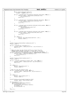```
631 {}_{\text{}} {}_{\text{}} {}_{\text{}} {}_{\text{}} {}_{\text{}} {}_{\text{}} {}_{\text{}} {}_{\text{}} {}_{\text{}} {}_{\text{}} {}_{\text{}} {}_{\text{}} {}_{\text{}} {}_{\text{}} {}_{\text{}} {}_{\text{}} {}_{\text{}} {}_{\text{}} {}_{\text{}} {}_{\text{}} {}_{\text{}} {}_{\text{}} {}_{\text{}} {}_{\text{}} 632 bzero( child_info[ind].child_ptrs,
633 breadth * sizeof(c_info *) );
634
635 if ((rc = pthread_mutex_init(&child_info[ind].child_mutex, NULL))) {<br>
fprintf( stderr, "pthread_mutex_init child_mutex: %s\n",<br>
sys_errlist[rc] );<br>
exit( 13 );
639 }
640
641 if ((rc = pthread_mutex_init(&child_info[ind].talk_mutex, NULL))) {<br>642 fprintf( stderr, "pthread_mutex_init talk_mutex: %s\n",<br>643 sys_errlist[rc] );
644 exit(1\overline{4});
645 }
646
<sup>647</sup> if ((rc = pthread_cond_init(&child_info[ind].child_condvar, NULL))) {<br>648
648 fprintf (stderr, 1994) stderr, 1994
<sup>649</sup> "pthread_cond_init child_condvar: %sh",<br>
sys errlist[rc]);
650 sys_errlist[rc] );
651 exit( 15 );
652 }
653
654 if ((rc = pthread_cond_init(&child_info[ind].talk_condvar, NULL))) {
655 fprintf( stderr, "pthread_cond_init talk_condvar: %s\n",
656 sys_errlist[rc] );
657 exit( 16 );
658 }
659
660 if ( debug ) {
661 printf( "Successfully initialized child %d.\n", ind );
662 fflush( stdout );
663 }
664
665 }
666
667 printf( "Creating root thread attributes via pthread_attr_init.\n" );<br>668 fflush( stdout );
                fflush( stdout );
669
670 if ((rc = pthread_attr_init(&attr))) {
671 fprintf( stderr, "pthread_attr_init: %s\n", sys_errlist[rc] );
672 exit( 17 );
673 }
674
675 /* Make sure that all the thread children we create have the
676 * PTHREAD_CREATE_JOINABLE attribute. If they don't, then the
677 * pthread_join call will sometimes fail and cause mass confusion. */
678 if (\text{rc = phhead\_attr\_setdetachstate(\&attr, PTHREAD_CREATE_JOINABLE))) {<br>679 for forintf(stderr, "pthread attr setdetachstate: %s\n",
679 fprintf(\frac{\text{stder}}{\text{svs}}, "pthread_attr_setdetachstate: % \text{sh}",
680 sys_errlist[rc] );
681 exit( 18 );
682 }
683
684 printf( "Creating root thread via pthread_create.\n" );<br>Ff1115h( 5f101t);
                fflush( stdout );686
687 if ((rc = pthread_create(&root_thread, &attr, doit, NULL))) {
688 fprintf( stderr, "pthread_create: %s\n", sys_errlist[rc] );
689 exit( 19 );
690 }
691
692 if ( debug ) {
693 printf( "Doing pthread_join.\n" );
694 fflush( stdout );
695 }
696
^{697} /* Wait for the root child to exit. */<br>^{698} if ((rc = pthread join(root thread. NUL
698 if ((rc = pthread_join(root_thread, NULL))) {<br>
\text{for}\inf\{ \text{ stderr. "nthread join}(\% \text{snr.} \text{ sys}) \}699 fprintf( stderr, "pthread_join: %s\n", sys_errlist[rc] );
700 exit( 20 );
701 }
702
703 if ( debug ) {
                           \begin{bmatrix} 2 & \text{if } \\ \text{print} & \text{if } \\ \end{bmatrix} ( "About to pthread_exit.\n" );
705 fflush( stdout );<br>706 }
706 }
707
708 printf("\n\nThe sum of tree (breadth %d, depth %d) is %ld\n",<br>meadth depth child info[0] sum):
                           breadth, depth, child_info[0].sum);
710
<sup>711</sup> if (use_shared == 1) {<br>712 if pthread_mutex_unlo
712 pthread_mutex_unlock(\&(sa->mutex));<br>
713 if (i_initialized == 1) {
713 if (i_initialized == 1) {<br>
714 pthread mutex destroy
714 pthread_mutex_destroy(&(sa−>mutex));
715 sa−>locked = 0;
716 sa−>initialized = 0;<br>717 }
717 }
718 }
                ext( 0 );
720 }
Registered Version: Next Generation Posix Threading test_str03.c Exhibit 11.1−5 pg 8/8
```